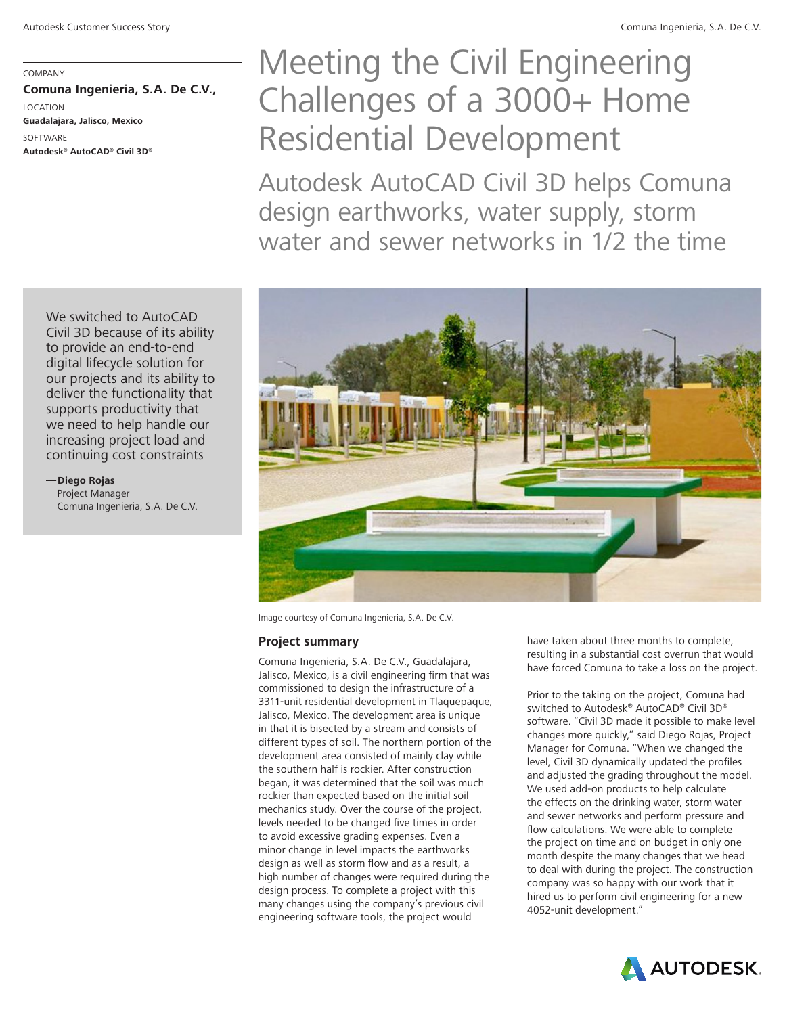COMPANY **Comuna Ingenieria, S.A. De C.V.,**  LOCATION **Guadalajara, Jalisco, Mexico SOFTWARE Autodesk® AutoCAD® Civil 3D®**

# Meeting the Civil Engineering Challenges of a 3000+ Home Residential Development

Autodesk AutoCAD Civil 3D helps Comuna design earthworks, water supply, storm water and sewer networks in 1/2 the time



Image courtesy of Comuna Ingenieria, S.A. De C.V.

#### **Project summary**

Comuna Ingenieria, S.A. De C.V., Guadalajara, Jalisco, Mexico, is a civil engineering firm that was commissioned to design the infrastructure of a 3311-unit residential development in Tlaquepaque, Jalisco, Mexico. The development area is unique in that it is bisected by a stream and consists of different types of soil. The northern portion of the development area consisted of mainly clay while the southern half is rockier. After construction began, it was determined that the soil was much rockier than expected based on the initial soil mechanics study. Over the course of the project, levels needed to be changed five times in order to avoid excessive grading expenses. Even a minor change in level impacts the earthworks design as well as storm flow and as a result, a high number of changes were required during the design process. To complete a project with this many changes using the company's previous civil engineering software tools, the project would

have taken about three months to complete, resulting in a substantial cost overrun that would have forced Comuna to take a loss on the project.

Prior to the taking on the project, Comuna had switched to Autodesk® AutoCAD® Civil 3D® software. "Civil 3D made it possible to make level changes more quickly," said Diego Rojas, Project Manager for Comuna. "When we changed the level, Civil 3D dynamically updated the profiles and adjusted the grading throughout the model. We used add-on products to help calculate the effects on the drinking water, storm water and sewer networks and perform pressure and flow calculations. We were able to complete the project on time and on budget in only one month despite the many changes that we head to deal with during the project. The construction company was so happy with our work that it hired us to perform civil engineering for a new 4052-unit development."



We switched to AutoCAD Civil 3D because of its ability to provide an end-to-end digital lifecycle solution for our projects and its ability to deliver the functionality that supports productivity that we need to help handle our increasing project load and continuing cost constraints

**—Diego Rojas** Project Manager Comuna Ingenieria, S.A. De C.V.